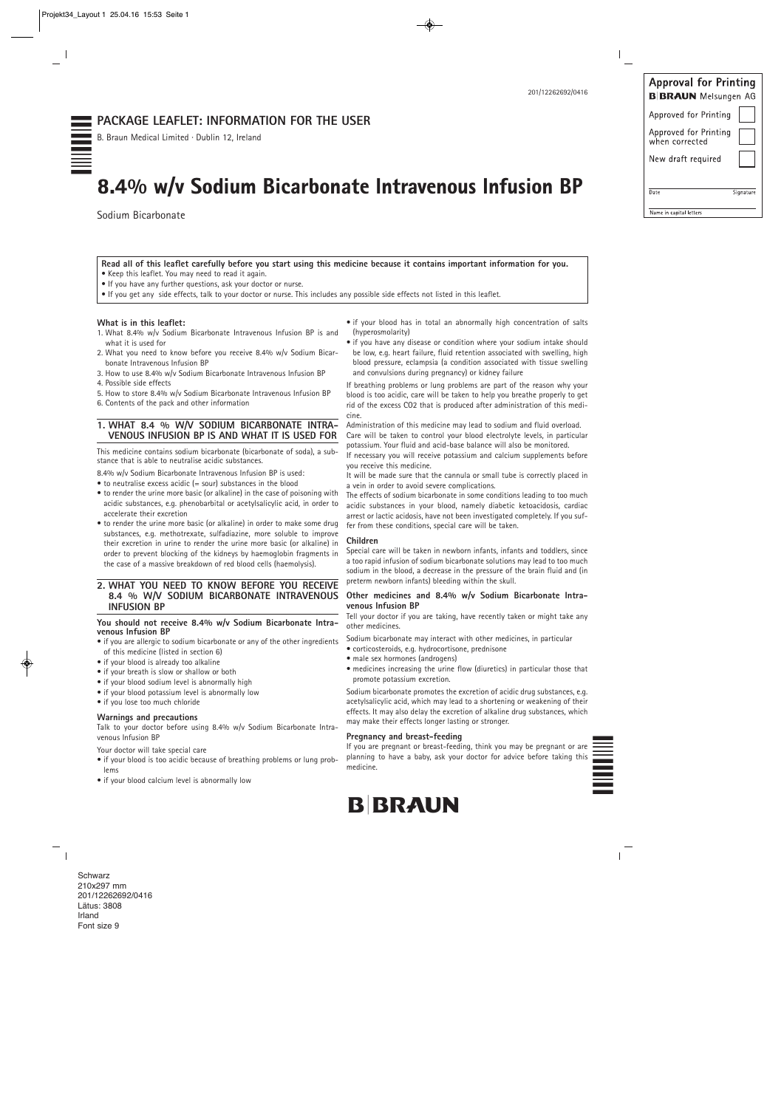

| <b>Approval for Printing</b><br><b>B BRAUN</b> Melsungen AG |           |
|-------------------------------------------------------------|-----------|
| Approved for Printing                                       |           |
| Approved for Printing<br>when corrected                     |           |
| New draft required                                          |           |
| Date                                                        | Signature |
| Name in capital letters                                     |           |
|                                                             |           |

201/12262692/0416

**Read all of this leaflet carefully before you start using this medicine because it contains important information for you.** • Keep this leaflet. You may need to read it again.

- If you have any further questions, ask your doctor or nurse.
- If you get any side effects, talk to your doctor or nurse. This includes any possible side effects not listed in this leaflet.

#### **What is in this leaflet:**

- 1. What 8.4% w/v Sodium Bicarbonate Intravenous Infusion BP is and what it is used for
- 2. What you need to know before you receive 8.4% w/v Sodium Bicarbonate Intravenous Infusion BP
- 3. How to use 8.4% w/v Sodium Bicarbonate Intravenous Infusion BP 4. Possible side effects
- 5. How to store 8.4% w/v Sodium Bicarbonate Intravenous Infusion BP 6. Contents of the pack and other information

#### **1. WHAT 8.4 % W/V SODIUM BICARBONATE INTRA-VENOUS INFUSION BP IS AND WHAT IT IS USED FOR**

This medicine contains sodium bicarbonate (bicarbonate of soda), a substance that is able to neutralise acidic substances.

8.4% w/v Sodium Bicarbonate Intravenous Infusion BP is used:

• to neutralise excess acidic (= sour) substances in the blood

- to render the urine more basic (or alkaline) in the case of poisoning with acidic substances, e.g. phenobarbital or acetylsalicylic acid, in order to accelerate their excretion
- to render the urine more basic (or alkaline) in order to make some drug substances, e.g. methotrexate, sulfadiazine, more soluble to improve their excretion in urine to render the urine more basic (or alkaline) in order to prevent blocking of the kidneys by haemoglobin fragments in the case of a massive breakdown of red blood cells (haemolysis).

#### **2. WHAT YOU NEED TO KNOW BEFORE YOU RECEIVE 8.4 % W/V SODIUM BICARBONATE INTRAVENOUS INFUSION BP**

#### **You should not receive 8.4% w/v Sodium Bicarbonate Intravenous Infusion BP**

- if you are allergic to sodium bicarbonate or any of the other ingredients of this medicine (listed in section 6)
- if your blood is already too alkaline
- if your breath is slow or shallow or both
- if your blood sodium level is abnormally high
- if your blood potassium level is abnormally low
- if you lose too much chloride

**Warnings and precautions** Talk to your doctor before using 8.4% w/v Sodium Bicarbonate Intravenous Infusion BP

- Your doctor will take special care
- if your blood is too acidic because of breathing problems or lung problems
- if your blood calcium level is abnormally low

## 0d<br>10d0d<br>10d1<br>10d1 **PACKAGE LEAFLET: INFORMATION FOR THE USER**

**Schwarz** 210x297 mm 201/12262692/0416 Lätus: 3808 Irland Font size 9

 $\overline{\phantom{a}}_1$ 

- if your blood has in total an abnormally high concentration of salts (hyperosmolarity)
- if you have any disease or condition where your sodium intake should be low, e.g. heart failure, fluid retention associated with swelling, high blood pressure, eclampsia (a condition associated with tissue swelling and convulsions during pregnancy) or kidney failure

If breathing problems or lung problems are part of the reason why your blood is too acidic, care will be taken to help you breathe properly to get rid of the excess CO2 that is produced after administration of this medicine.

Administration of this medicine may lead to sodium and fluid overload. Care will be taken to control your blood electrolyte levels, in particular potassium. Your fluid and acid-base balance will also be monitored.

If necessary you will receive potassium and calcium supplements before you receive this medicine.

It will be made sure that the cannula or small tube is correctly placed in a vein in order to avoid severe complications.

The effects of sodium bicarbonate in some conditions leading to too much acidic substances in your blood, namely diabetic ketoacidosis, cardiac arrest or lactic acidosis, have not been investigated completely. If you suffer from these conditions, special care will be taken.

#### **Children**

Special care will be taken in newborn infants, infants and toddlers, since a too rapid infusion of sodium bicarbonate solutions may lead to too much sodium in the blood, a decrease in the pressure of the brain fluid and (in preterm newborn infants) bleeding within the skull.

#### **Other medicines and 8.4% w/v Sodium Bicarbonate Intravenous Infusion BP**

Tell your doctor if you are taking, have recently taken or might take any other medicines.

Sodium bicarbonate may interact with other medicines, in particular

- corticosteroids, e.g. hydrocortisone, prednisone
- male sex hormones (androgens)
- medicines increasing the urine flow (diuretics) in particular those that promote potassium excretion.

Sodium bicarbonate promotes the excretion of acidic drug substances, e.g. acetylsalicylic acid, which may lead to a shortening or weakening of their effects. It may also delay the excretion of alkaline drug substances, which may make their effects longer lasting or stronger.

#### **Pregnancy and breast-feeding**

**B**BRAUN

If you are pregnant or breast-feeding, think you may be pregnant or are planning to have a baby, ask your doctor for advice before taking this medicine.

B. Braun Medical Limited · Dublin 12, Ireland

## 8.4% w/v Sodium Bicarbonate Intravenous Infusion BP

Sodium Bicarbonate

 $\overline{\phantom{a}}$